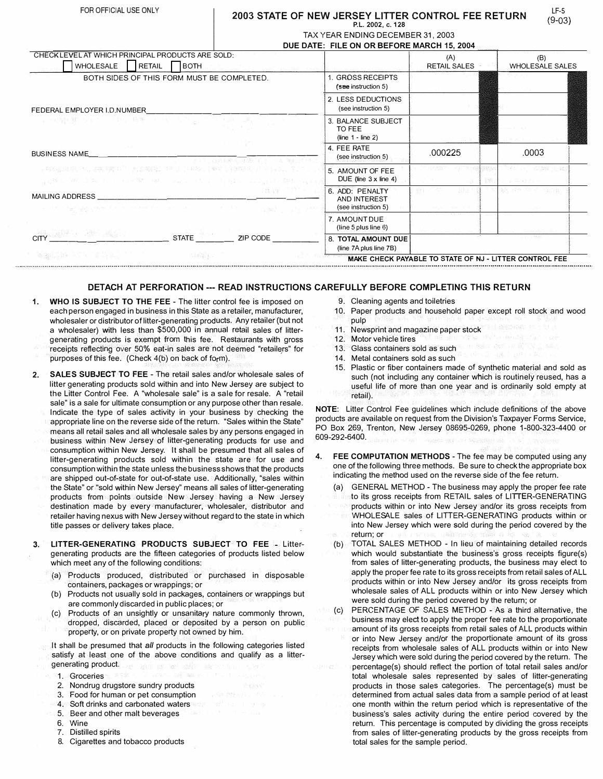## FOR OFFICIAL USE ONLY **12003 STATE OF NEW JERSEY LITTER CONTROL FEE RETURN P. L. 2002, c. 128**

TAX YEAR ENDING DECEMBER 31, 2003

|                                                                                                                                                                                                                                                                                                                                                                                                             |                                                                                                                                                                             | DUE DATE: FILE ON OR BEFORE MARCH 15, 2004             |                                      |                                                        |  |
|-------------------------------------------------------------------------------------------------------------------------------------------------------------------------------------------------------------------------------------------------------------------------------------------------------------------------------------------------------------------------------------------------------------|-----------------------------------------------------------------------------------------------------------------------------------------------------------------------------|--------------------------------------------------------|--------------------------------------|--------------------------------------------------------|--|
| CHECK LEVEL AT WHICH PRINCIPAL PRODUCTS ARE SOLD:<br>RETAIL<br>WHOLESALE                                                                                                                                                                                                                                                                                                                                    | <b>BOTH</b>                                                                                                                                                                 |                                                        | (A)<br>RETAIL SALES                  | (B)<br><b>WHOLESALE SALES</b>                          |  |
| BOTH SIDES OF THIS FORM MUST BE COMPLETED.                                                                                                                                                                                                                                                                                                                                                                  |                                                                                                                                                                             | 1. GROSS RECEIPTS<br>(see instruction 5)               |                                      |                                                        |  |
| FEDERAL EMPLOYER I.D.NUMBER                                                                                                                                                                                                                                                                                                                                                                                 |                                                                                                                                                                             | 2. LESS DEDUCTIONS<br>(see instruction 5)              |                                      |                                                        |  |
| <b>CONSTRUCT</b> TO AND THE STOLEN STOLEN TO BE                                                                                                                                                                                                                                                                                                                                                             |                                                                                                                                                                             | 3. BALANCE SUBJECT<br>TO FFF<br>$(line 1 - line 2)$    |                                      |                                                        |  |
| <b>BUSINESS NAME</b>                                                                                                                                                                                                                                                                                                                                                                                        | The collaboration of the collaboration                                                                                                                                      | 4. FEE RATE<br>(see instruction 5)                     | .000225                              | .0003                                                  |  |
|                                                                                                                                                                                                                                                                                                                                                                                                             | 学校ASILLISHER PHOTOBIS SISHER PHOTOBIOLOGICAL CONTRACTORS AND LONGING TO THE CONTRACTOR OF A STATE O<br>AND WAS SERVED ON WARRANTY AND A PARTY OF THE CONSUMER TO THE ANNUAL | 5. AMOUNT OF FEE<br>DUE (line $3 \times$ line 4)       | <b>ITABY</b><br>59332                | <b>TEACHER ENTREST PEN</b><br>128.3<br>Jacques         |  |
| MAILING ADDRESS<br>$\label{eq:constr} \mathcal{C}^{(n)} = \mathcal{C}^{(n)}_{\mathcal{D}_1} \otimes \bigotimes_{\mathcal{D}_2} \mathcal{C}^{(n)}_{\mathcal{D}_1} \otimes \cdots \otimes \mathcal{C}^{(n)}_{\mathcal{D}_n} \otimes \cdots \otimes \mathcal{C}^{(n)}_{\mathcal{D}_n} \otimes \cdots \otimes \mathcal{C}^{(n)}_{\mathcal{D}_n} \otimes \cdots \otimes \mathcal{C}^{(n)}_{\mathcal{D}_n} \big)$ | TRAVE TIME TO<br>The most company of the company                                                                                                                            | 6. ADD: PENALTY<br>AND INTEREST<br>(see instruction 5) | - 81 18<br>will be a second the con- | 12 M PT<br><b>Balling</b>                              |  |
|                                                                                                                                                                                                                                                                                                                                                                                                             |                                                                                                                                                                             | 7. AMOUNT DUE<br>(line 5 plus line $6$ )               |                                      |                                                        |  |
| <b>CITY</b> WAS SERVED AND TO BE A RESIDENT                                                                                                                                                                                                                                                                                                                                                                 | <b>STATE</b><br>ZIP CODE                                                                                                                                                    | 8. TOTAL AMOUNT DUE<br>(line 7A plus line 7B)          |                                      | $-33.22$                                               |  |
| WERKLASS FACTOR AND TO                                                                                                                                                                                                                                                                                                                                                                                      | <b>MURREY</b>                                                                                                                                                               |                                                        |                                      | MAKE CHECK PAYABLE TO STATE OF NJ - LITTER CONTROL FEE |  |

## **DETACH AT PERFORATION --- READ INSTRUCTIONS CAREFULLY BEFORE COMPLETING THIS RETURN**

- **1. WHO IS SUBJECT TO THE FEE** - The litter control fee is imposed on each person engaged in business in this State as a retailer, manufacturer,<br>who lead to an distributor of the manufacturer during Association (but as t . wholesaler or distributor of litter-generating products. Any retailer (but not a wholesaler) with less than  $$500,000$  in annual retail sales of littergenerating products is exempt from this fee. Restaurants with gross receipts reflecting over 50% eat-in sales are not deemed "retailers" for . purposes of this fee. (Check 4(b) on back of form),
- **2. SALES SUBJECT TO FEE** The retail sales and/or wholesale sales of litter generating products sold within and into New Jersey are subject to the Litter Control Fee. A "wholesale sale" is a sale for resale. A "retail sale" is a sale for ultimate consumption or any purpose other than resale. Indicate the type of sales activity in your business by checking the appropriate line on the reverse side of the return. "Sales within the State" . m. eans all retail sales and an wholesale sales by any persons engaged in business within New Jersey of litter-generating products for use and consumption within New Jersey. It shall be presumed that all sales of litter-generating products sold within the State are for use and consumption within the state unless the business shows that the products<br>ere ekinood autoof state for autoof atate uses. Additionally, "aalso within are shipped out-of-state for out-of-state use. Additionally, "sales within the State" or "sold within New Jersey" means all sales of litter-generating products from points outside New Jersey having a New Jersey destination made by every manufacturer, wholesaler, distributor and retailer having nexus with New Jersey without regard to the state in which title passes or delivery takes place.
- **3. LITTER-GENERATING PRODUCTS SUBJECT TO FEE** Littergenerating products are the fifteen categories of products listed below which meet any of the following conditions:
	- (a) Products produced, distributed or purchased in disposable . containers, packages or wrappings; or
	- (b) Products not usually sold in packages, containers or wrappings but are commonly discarded in public places; or
	- (c) Products of an unsightly or unsanitary nature commonly thrown, dropped, discarded, placed or deposited by a person on public • property, or on private propertynot owned by him.

It shall be presumed that all products in the following categories listed satisfy at least one of the above conditions and qualify as a littergenerating product.

- 1. Groceries
- 2. Nondrug drugstore sundry products
- 3. Food for human or pet consumption
- 4. Soft drinks and carbonated waters
- 5. Beer and other malt beverages
- 6. Wine
- 7. Distilled spirits
- 8. Cigarettes and tobacco products
- 9. Cleaning agents and toiletries
- 10. Paper products and household paper except roll stock and wood pulp

LF-5 **(9-03)** 

- 11. Newsprint and magazine paper stock
- 12. Motor vehicle tires
- 13. Glass containers sold as such
- 14. Metal containers sold as such
- 15. Plastic or fiber containers made of synthetic material and sold as such (not including any container which is routinely reused, has a useful life of more than one year and is ordinarily sold empty at retail).

**NOTE:** Litter Control Fee guidelines which include definitions of the above products are available on request from the Division's Taxpayer Forms Service, PO Box 269, Trenton, New Jersey 08695-0269, phone 1-800-323-4400 or 609-292-6400.

- **4. FEE COMPUTATION METHODS**  The fee may be computed using any one of the following three methods. Be sure to check the appropriate box indicating the method used on the reverse side of the fee return.
	- (a) GENERAL METHOD The business may apply the proper fee rate to its gross receipts from RETAIL sales of LITTER-GENERATING products within or into New Jersey and/or its gross receipts from WHOLESALE sales of LITTER-GENERATING products within or into New Jersey which were sold during the period covered by the return; or
	- (b) TOTAL S ALES METHOD In lieu of maintaining detailed records which would substantiate the business's gross receipts figure(s) from sales of litter-generating products, the business may elect to apply the proper fee rate to its gross receipts from retail sales of ALL products within or into New Jersey and/or its gross receipts from wholesale sales of ALL products within or into New Jersey which were sold during the period covered by the return; or
	- (c) PERCENTAGE Of SALES METHOD -As a third alternative, the busin ess may elect to apply the proper fee rate to the proportionate . amount of its gross receipts from retail sales of ALL products within or into New Jersey and/or the proportionate amount of its gross \_ receipts from wholesale sales of ALL products within or into New Jersey which were sold during the. period covered by t he return. The \_ percentage(s) should reflect the portion of total retail sales and/or total wholesale sales represented by sales of litter-generating products in those sale s categories. The percentage(s) must be determined from actual sales data from a sample period of at least one month within the return period which is representative of the business's sales activity during the entire period Covered by the return. This percentage is computed by dividing the gross receipts from sales of litter-generating products by the gross receipts from total sales for the sample period.